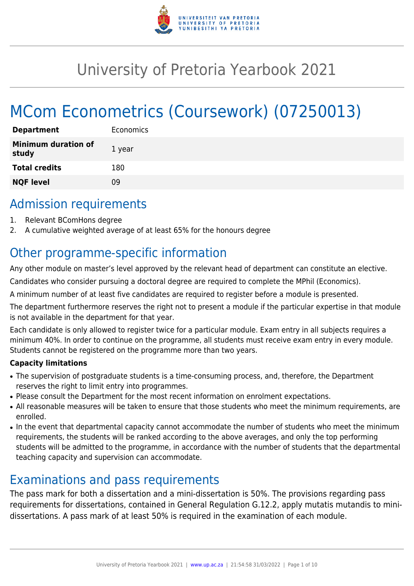

# University of Pretoria Yearbook 2021

# MCom Econometrics (Coursework) (07250013)

| <b>Department</b>                   | Economics |
|-------------------------------------|-----------|
| <b>Minimum duration of</b><br>study | 1 year    |
| <b>Total credits</b>                | 180       |
| <b>NQF level</b>                    | ΩÓ        |

# Admission requirements

- 1. Relevant BComHons degree
- 2. A cumulative weighted average of at least 65% for the honours degree

# Other programme-specific information

Any other module on master's level approved by the relevant head of department can constitute an elective.

Candidates who consider pursuing a doctoral degree are required to complete the MPhil (Economics).

A minimum number of at least five candidates are required to register before a module is presented.

The department furthermore reserves the right not to present a module if the particular expertise in that module is not available in the department for that year.

Each candidate is only allowed to register twice for a particular module. Exam entry in all subjects requires a minimum 40%. In order to continue on the programme, all students must receive exam entry in every module. Students cannot be registered on the programme more than two years.

# **Capacity limitations**

- The supervision of postgraduate students is a time-consuming process, and, therefore, the Department reserves the right to limit entry into programmes.
- Please consult the Department for the most recent information on enrolment expectations.
- All reasonable measures will be taken to ensure that those students who meet the minimum requirements, are enrolled.
- In the event that departmental capacity cannot accommodate the number of students who meet the minimum requirements, the students will be ranked according to the above averages, and only the top performing students will be admitted to the programme, in accordance with the number of students that the departmental teaching capacity and supervision can accommodate.

# Examinations and pass requirements

The pass mark for both a dissertation and a mini-dissertation is 50%. The provisions regarding pass requirements for dissertations, contained in General Regulation G.12.2, apply mutatis mutandis to minidissertations. A pass mark of at least 50% is required in the examination of each module.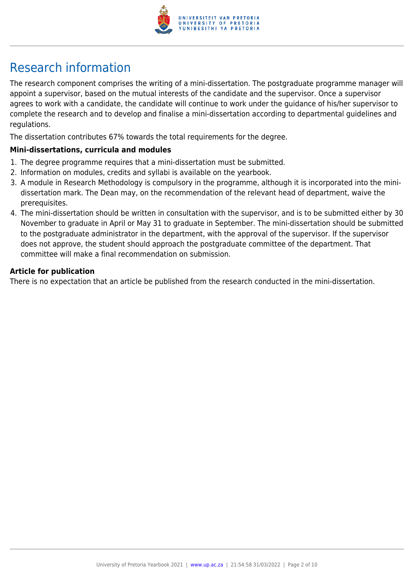

# Research information

The research component comprises the writing of a mini-dissertation. The postgraduate programme manager will appoint a supervisor, based on the mutual interests of the candidate and the supervisor. Once a supervisor agrees to work with a candidate, the candidate will continue to work under the guidance of his/her supervisor to complete the research and to develop and finalise a mini-dissertation according to departmental guidelines and regulations.

The dissertation contributes 67% towards the total requirements for the degree.

### **Mini-dissertations, curricula and modules**

- 1. The degree programme requires that a mini-dissertation must be submitted.
- 2. Information on modules, credits and syllabi is available on the yearbook.
- 3. A module in Research Methodology is compulsory in the programme, although it is incorporated into the minidissertation mark. The Dean may, on the recommendation of the relevant head of department, waive the prerequisites.
- 4. The mini-dissertation should be written in consultation with the supervisor, and is to be submitted either by 30 November to graduate in April or May 31 to graduate in September. The mini-dissertation should be submitted to the postgraduate administrator in the department, with the approval of the supervisor. If the supervisor does not approve, the student should approach the postgraduate committee of the department. That committee will make a final recommendation on submission.

### **Article for publication**

There is no expectation that an article be published from the research conducted in the mini-dissertation.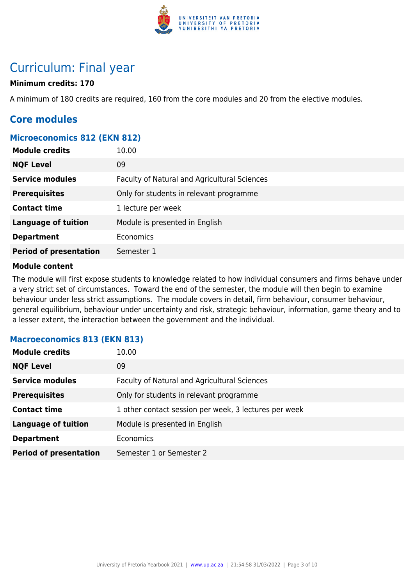

# Curriculum: Final year

# **Minimum credits: 170**

A minimum of 180 credits are required, 160 from the core modules and 20 from the elective modules.

# **Core modules**

### **Microeconomics 812 (EKN 812)**

| <b>Module credits</b>         | 10.00                                        |
|-------------------------------|----------------------------------------------|
| <b>NQF Level</b>              | 09                                           |
| <b>Service modules</b>        | Faculty of Natural and Agricultural Sciences |
| <b>Prerequisites</b>          | Only for students in relevant programme      |
| <b>Contact time</b>           | 1 lecture per week                           |
| <b>Language of tuition</b>    | Module is presented in English               |
| <b>Department</b>             | Economics                                    |
| <b>Period of presentation</b> | Semester 1                                   |

### **Module content**

The module will first expose students to knowledge related to how individual consumers and firms behave under a very strict set of circumstances. Toward the end of the semester, the module will then begin to examine behaviour under less strict assumptions. The module covers in detail, firm behaviour, consumer behaviour, general equilibrium, behaviour under uncertainty and risk, strategic behaviour, information, game theory and to a lesser extent, the interaction between the government and the individual.

### **Macroeconomics 813 (EKN 813)**

| <b>Module credits</b>         | 10.00                                                 |
|-------------------------------|-------------------------------------------------------|
| <b>NQF Level</b>              | 09                                                    |
| <b>Service modules</b>        | Faculty of Natural and Agricultural Sciences          |
| <b>Prerequisites</b>          | Only for students in relevant programme               |
| <b>Contact time</b>           | 1 other contact session per week, 3 lectures per week |
| <b>Language of tuition</b>    | Module is presented in English                        |
| <b>Department</b>             | <b>Economics</b>                                      |
| <b>Period of presentation</b> | Semester 1 or Semester 2                              |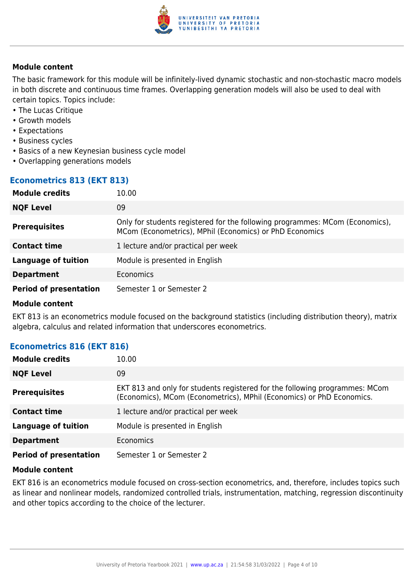

The basic framework for this module will be infinitely-lived dynamic stochastic and non-stochastic macro models in both discrete and continuous time frames. Overlapping generation models will also be used to deal with certain topics. Topics include:

- The Lucas Critique
- Growth models
- Expectations
- Business cycles
- Basics of a new Keynesian business cycle model
- Overlapping generations models

### **Econometrics 813 (EKT 813)**

| <b>Module credits</b>         | 10.00                                                                                                                                   |
|-------------------------------|-----------------------------------------------------------------------------------------------------------------------------------------|
| <b>NQF Level</b>              | 09                                                                                                                                      |
| <b>Prerequisites</b>          | Only for students registered for the following programmes: MCom (Economics),<br>MCom (Econometrics), MPhil (Economics) or PhD Economics |
| <b>Contact time</b>           | 1 lecture and/or practical per week                                                                                                     |
| <b>Language of tuition</b>    | Module is presented in English                                                                                                          |
| <b>Department</b>             | Economics                                                                                                                               |
| <b>Period of presentation</b> | Semester 1 or Semester 2                                                                                                                |

### **Module content**

EKT 813 is an econometrics module focused on the background statistics (including distribution theory), matrix algebra, calculus and related information that underscores econometrics.

# **Econometrics 816 (EKT 816)**

| <b>Module credits</b>         | 10.00                                                                                                                                                |
|-------------------------------|------------------------------------------------------------------------------------------------------------------------------------------------------|
| <b>NQF Level</b>              | 09                                                                                                                                                   |
| <b>Prerequisites</b>          | EKT 813 and only for students registered for the following programmes: MCom<br>(Economics), MCom (Econometrics), MPhil (Economics) or PhD Economics. |
| <b>Contact time</b>           | 1 lecture and/or practical per week                                                                                                                  |
| <b>Language of tuition</b>    | Module is presented in English                                                                                                                       |
| <b>Department</b>             | <b>Economics</b>                                                                                                                                     |
| <b>Period of presentation</b> | Semester 1 or Semester 2                                                                                                                             |

### **Module content**

EKT 816 is an econometrics module focused on cross-section econometrics, and, therefore, includes topics such as linear and nonlinear models, randomized controlled trials, instrumentation, matching, regression discontinuity and other topics according to the choice of the lecturer.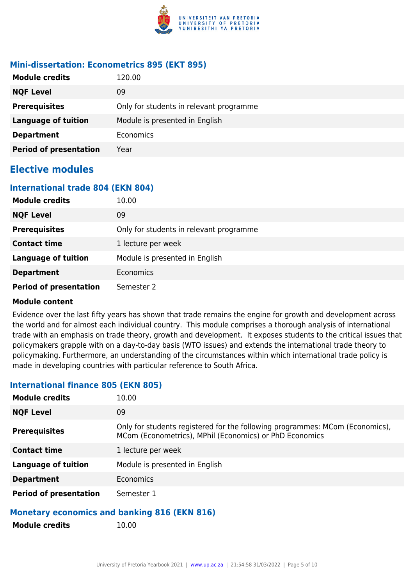

### **Mini-dissertation: Econometrics 895 (EKT 895)**

| <b>Module credits</b>         | 120.00                                  |
|-------------------------------|-----------------------------------------|
| <b>NQF Level</b>              | 09                                      |
| <b>Prerequisites</b>          | Only for students in relevant programme |
| <b>Language of tuition</b>    | Module is presented in English          |
| <b>Department</b>             | Economics                               |
| <b>Period of presentation</b> | Year                                    |

# **Elective modules**

### **International trade 804 (EKN 804)**

| <b>Module credits</b>         | 10.00                                   |
|-------------------------------|-----------------------------------------|
| <b>NQF Level</b>              | 09                                      |
| <b>Prerequisites</b>          | Only for students in relevant programme |
| <b>Contact time</b>           | 1 lecture per week                      |
| <b>Language of tuition</b>    | Module is presented in English          |
| <b>Department</b>             | <b>Economics</b>                        |
| <b>Period of presentation</b> | Semester 2                              |

### **Module content**

Evidence over the last fifty years has shown that trade remains the engine for growth and development across the world and for almost each individual country. This module comprises a thorough analysis of international trade with an emphasis on trade theory, growth and development. It exposes students to the critical issues that policymakers grapple with on a day-to-day basis (WTO issues) and extends the international trade theory to policymaking. Furthermore, an understanding of the circumstances within which international trade policy is made in developing countries with particular reference to South Africa.

# **Module credits** 10.00 **NOF Level** 09 **Prerequisites** Only for students registered for the following programmes: MCom (Economics), MCom (Econometrics), MPhil (Economics) or PhD Economics **Contact time** 1 lecture per week **Language of tuition** Module is presented in English **Department** Economics **Period of presentation** Semester 1

# **International finance 805 (EKN 805)**

### **Monetary economics and banking 816 (EKN 816)**

**Module credits** 10.00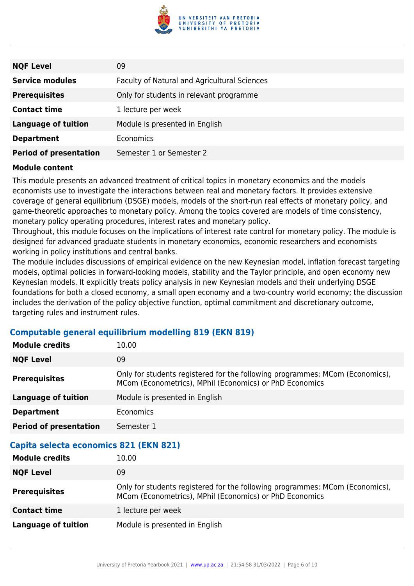

| <b>NQF Level</b>              | 09                                           |
|-------------------------------|----------------------------------------------|
| <b>Service modules</b>        | Faculty of Natural and Agricultural Sciences |
| <b>Prerequisites</b>          | Only for students in relevant programme      |
| <b>Contact time</b>           | 1 lecture per week                           |
| <b>Language of tuition</b>    | Module is presented in English               |
| <b>Department</b>             | <b>Economics</b>                             |
| <b>Period of presentation</b> | Semester 1 or Semester 2                     |

This module presents an advanced treatment of critical topics in monetary economics and the models economists use to investigate the interactions between real and monetary factors. It provides extensive coverage of general equilibrium (DSGE) models, models of the short-run real effects of monetary policy, and game-theoretic approaches to monetary policy. Among the topics covered are models of time consistency, monetary policy operating procedures, interest rates and monetary policy.

Throughout, this module focuses on the implications of interest rate control for monetary policy. The module is designed for advanced graduate students in monetary economics, economic researchers and economists working in policy institutions and central banks.

The module includes discussions of empirical evidence on the new Keynesian model, inflation forecast targeting models, optimal policies in forward-looking models, stability and the Taylor principle, and open economy new Keynesian models. It explicitly treats policy analysis in new Keynesian models and their underlying DSGE foundations for both a closed economy, a small open economy and a two-country world economy; the discussion includes the derivation of the policy objective function, optimal commitment and discretionary outcome, targeting rules and instrument rules.

# **Computable general equilibrium modelling 819 (EKN 819)**

| <b>Module credits</b>                  | 10.00                                                                                                                                   |  |
|----------------------------------------|-----------------------------------------------------------------------------------------------------------------------------------------|--|
| <b>NQF Level</b>                       | 09                                                                                                                                      |  |
| <b>Prerequisites</b>                   | Only for students registered for the following programmes: MCom (Economics),<br>MCom (Econometrics), MPhil (Economics) or PhD Economics |  |
| <b>Language of tuition</b>             | Module is presented in English                                                                                                          |  |
| <b>Department</b>                      | <b>Economics</b>                                                                                                                        |  |
| <b>Period of presentation</b>          | Semester 1                                                                                                                              |  |
| Capita selecta economics 821 (EKN 821) |                                                                                                                                         |  |
|                                        |                                                                                                                                         |  |
| <b>Module credits</b>                  | 10.00                                                                                                                                   |  |
| <b>NQF Level</b>                       | 09                                                                                                                                      |  |
| <b>Prerequisites</b>                   | Only for students registered for the following programmes: MCom (Economics),<br>MCom (Econometrics), MPhil (Economics) or PhD Economics |  |
| <b>Contact time</b>                    | 1 lecture per week                                                                                                                      |  |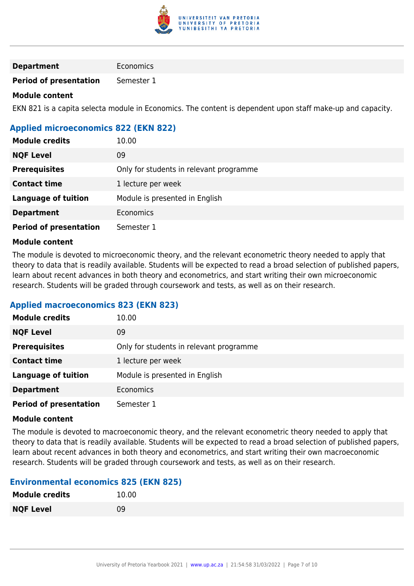

### **Department** Economics

**Period of presentation** Semester 1

### **Module content**

EKN 821 is a capita selecta module in Economics. The content is dependent upon staff make-up and capacity.

# **Applied microeconomics 822 (EKN 822)**

| <b>Module credits</b>         | 10.00                                   |
|-------------------------------|-----------------------------------------|
| <b>NQF Level</b>              | 09                                      |
| <b>Prerequisites</b>          | Only for students in relevant programme |
| <b>Contact time</b>           | 1 lecture per week                      |
| <b>Language of tuition</b>    | Module is presented in English          |
| <b>Department</b>             | Economics                               |
| <b>Period of presentation</b> | Semester 1                              |

### **Module content**

The module is devoted to microeconomic theory, and the relevant econometric theory needed to apply that theory to data that is readily available. Students will be expected to read a broad selection of published papers, learn about recent advances in both theory and econometrics, and start writing their own microeconomic research. Students will be graded through coursework and tests, as well as on their research.

### **Applied macroeconomics 823 (EKN 823)**

| <b>Module credits</b>         | 10.00                                   |
|-------------------------------|-----------------------------------------|
| <b>NQF Level</b>              | 09                                      |
| <b>Prerequisites</b>          | Only for students in relevant programme |
| <b>Contact time</b>           | 1 lecture per week                      |
| <b>Language of tuition</b>    | Module is presented in English          |
| <b>Department</b>             | Economics                               |
| <b>Period of presentation</b> | Semester 1                              |

### **Module content**

The module is devoted to macroeconomic theory, and the relevant econometric theory needed to apply that theory to data that is readily available. Students will be expected to read a broad selection of published papers, learn about recent advances in both theory and econometrics, and start writing their own macroeconomic research. Students will be graded through coursework and tests, as well as on their research.

### **Environmental economics 825 (EKN 825)**

| <b>Module credits</b> | 10.00 |
|-----------------------|-------|
| <b>NQF Level</b>      | 09    |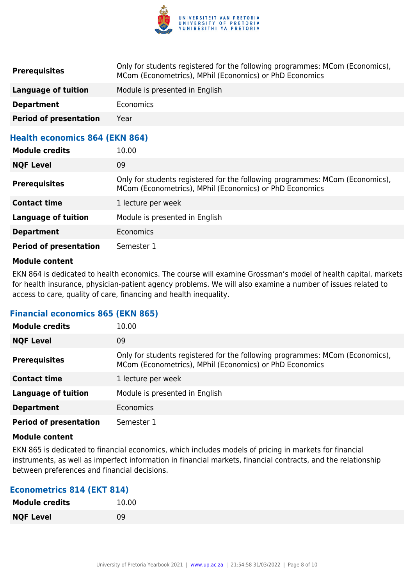

| <b>Prerequisites</b>                  | Only for students registered for the following programmes: MCom (Economics),<br>MCom (Econometrics), MPhil (Economics) or PhD Economics |
|---------------------------------------|-----------------------------------------------------------------------------------------------------------------------------------------|
| Language of tuition                   | Module is presented in English                                                                                                          |
| <b>Department</b>                     | <b>Economics</b>                                                                                                                        |
| <b>Period of presentation</b>         | Year                                                                                                                                    |
| <b>Health economics 864 (EKN 864)</b> |                                                                                                                                         |

| <b>Module credits</b>         | 10.00                                                                                                                                   |
|-------------------------------|-----------------------------------------------------------------------------------------------------------------------------------------|
| <b>NQF Level</b>              | 09                                                                                                                                      |
| <b>Prerequisites</b>          | Only for students registered for the following programmes: MCom (Economics),<br>MCom (Econometrics), MPhil (Economics) or PhD Economics |
| <b>Contact time</b>           | 1 lecture per week                                                                                                                      |
| <b>Language of tuition</b>    | Module is presented in English                                                                                                          |
| <b>Department</b>             | Economics                                                                                                                               |
| <b>Period of presentation</b> | Semester 1                                                                                                                              |

EKN 864 is dedicated to health economics. The course will examine Grossman's model of health capital, markets for health insurance, physician-patient agency problems. We will also examine a number of issues related to access to care, quality of care, financing and health inequality.

### **Financial economics 865 (EKN 865)**

| <b>Module credits</b>         | 10.00                                                                                                                                   |
|-------------------------------|-----------------------------------------------------------------------------------------------------------------------------------------|
| <b>NQF Level</b>              | 09                                                                                                                                      |
| <b>Prerequisites</b>          | Only for students registered for the following programmes: MCom (Economics),<br>MCom (Econometrics), MPhil (Economics) or PhD Economics |
| <b>Contact time</b>           | 1 lecture per week                                                                                                                      |
| <b>Language of tuition</b>    | Module is presented in English                                                                                                          |
| <b>Department</b>             | <b>Economics</b>                                                                                                                        |
| <b>Period of presentation</b> | Semester 1                                                                                                                              |

### **Module content**

EKN 865 is dedicated to financial economics, which includes models of pricing in markets for financial instruments, as well as imperfect information in financial markets, financial contracts, and the relationship between preferences and financial decisions.

### **Econometrics 814 (EKT 814)**

| <b>Module credits</b> | 10.00 |
|-----------------------|-------|
| <b>NQF Level</b>      | 09    |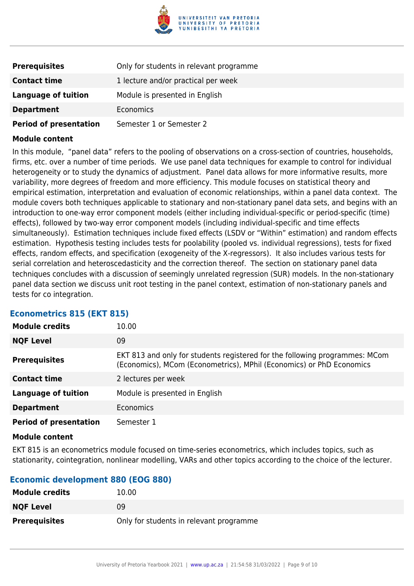

| <b>Prerequisites</b>          | Only for students in relevant programme |
|-------------------------------|-----------------------------------------|
| <b>Contact time</b>           | 1 lecture and/or practical per week     |
| Language of tuition           | Module is presented in English          |
| <b>Department</b>             | <b>Economics</b>                        |
| <b>Period of presentation</b> | Semester 1 or Semester 2                |

In this module, "panel data" refers to the pooling of observations on a cross-section of countries, households, firms, etc. over a number of time periods. We use panel data techniques for example to control for individual heterogeneity or to study the dynamics of adjustment. Panel data allows for more informative results, more variability, more degrees of freedom and more efficiency. This module focuses on statistical theory and empirical estimation, interpretation and evaluation of economic relationships, within a panel data context. The module covers both techniques applicable to stationary and non-stationary panel data sets, and begins with an introduction to one-way error component models (either including individual-specific or period-specific (time) effects), followed by two-way error component models (including individual-specific and time effects simultaneously). Estimation techniques include fixed effects (LSDV or "Within" estimation) and random effects estimation. Hypothesis testing includes tests for poolability (pooled vs. individual regressions), tests for fixed effects, random effects, and specification (exogeneity of the X-regressors). It also includes various tests for serial correlation and heteroscedasticity and the correction thereof. The section on stationary panel data techniques concludes with a discussion of seemingly unrelated regression (SUR) models. In the non-stationary panel data section we discuss unit root testing in the panel context, estimation of non-stationary panels and tests for co integration.

| Etonomothos ved terti vedi    |                                                                                                                                                     |
|-------------------------------|-----------------------------------------------------------------------------------------------------------------------------------------------------|
| <b>Module credits</b>         | 10.00                                                                                                                                               |
| <b>NQF Level</b>              | 09                                                                                                                                                  |
| <b>Prerequisites</b>          | EKT 813 and only for students registered for the following programmes: MCom<br>(Economics), MCom (Econometrics), MPhil (Economics) or PhD Economics |
| <b>Contact time</b>           | 2 lectures per week                                                                                                                                 |
| Language of tuition           | Module is presented in English                                                                                                                      |
| <b>Department</b>             | Economics                                                                                                                                           |
| <b>Period of presentation</b> | Semester 1                                                                                                                                          |

### **Econometrics 815 (EKT 815)**

### **Module content**

EKT 815 is an econometrics module focused on time-series econometrics, which includes topics, such as stationarity, cointegration, nonlinear modelling, VARs and other topics according to the choice of the lecturer.

### **Economic development 880 (EOG 880)**

| <b>Module credits</b> | 10.00                                   |
|-----------------------|-----------------------------------------|
| <b>NQF Level</b>      | 09                                      |
| <b>Prerequisites</b>  | Only for students in relevant programme |